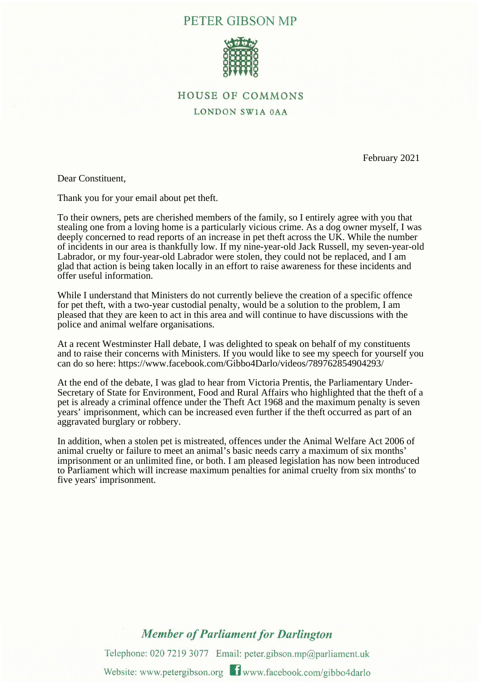## PETER GIBSON MP



## **HOUSE OF COMMONS**

LONDON SW1A 0AA

February 2021

Dear Constituent,

Thank you for your email about pet theft.

To their owners, pets are cherished members of the family, so I entirely agree with you that stealing one from a loving home is a particularly vicious crime. As a dog owner myself, I was deeply concerned to read reports of an increase in pet theft across the UK. While the number of incidents in our area is thankfully low. If my nine-year-old Jack Russell, my seven-year-old Labrador, or my four-year-old Labrador were stolen, they could not be replaced, and I am glad that action is being taken locally in an effort to raise awareness for these incidents and offer useful information.

While I understand that Ministers do not currently believe the creation of a specific offence for pet theft, with a two-year custodial penalty, would be a solution to the problem, I am pleased that they are keen to act in this area and will continue to have discussions with the police and animal welfare organisations.

At a recent Westminster Hall debate, I was delighted to speak on behalf of my constituents and to raise their concerns with Ministers. If you would like to see my speech for yourself you can do so here: https://www.facebook.com/Gibbo4Darlo/videos/789762854904293/

At the end of the debate, I was glad to hear from Victoria Prentis, the Parliamentary Under-Secretary of State for Environment, Food and Rural Affairs who highlighted that the theft of a pet is already a criminal offence under the Theft Act 1968 and the maximum penalty is seven years' imprisonment, which can be increased even further if the theft occurred as part of an aggravated burglary or robbery.

In addition, when a stolen pet is mistreated, offences under the Animal Welfare Act 2006 of animal cruelty or failure to meet an animal's basic needs carry a maximum of six months' imprisonment or an unlimited fine, or both. I am pleased legislation has now been introduced to Parliament which will increase maximum penalties for animal cruelty from six months' to five years' imprisonment.

## **Member of Parliament for Darlington**

Telephone: 020 7219 3077 Email: peter.gibson.mp@parliament.uk Website: www.petergibson.org **T** www.facebook.com/gibbo4darlo